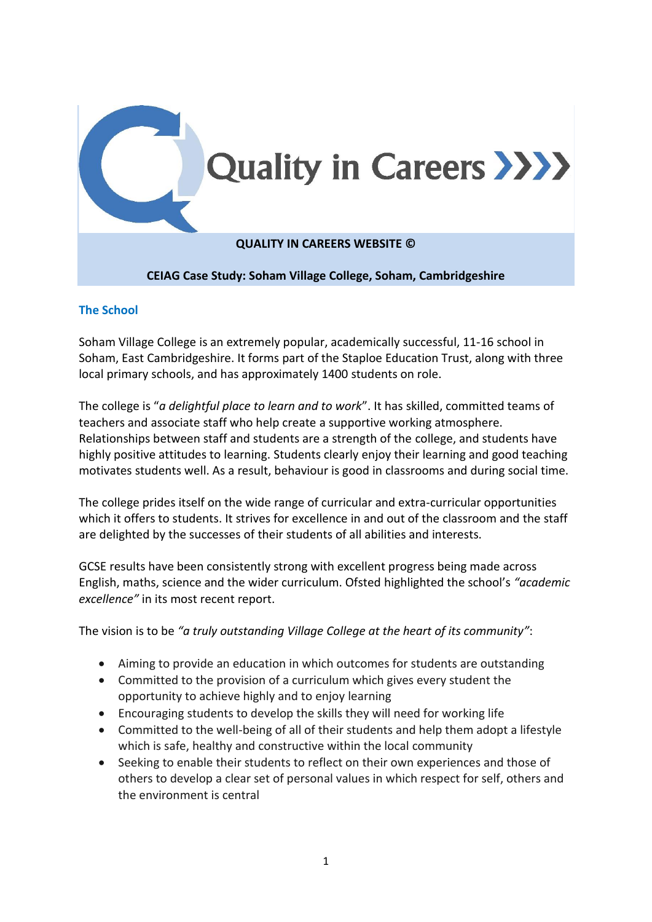

## **The School**

Soham Village College is an extremely popular, academically successful, 11-16 school in Soham, East Cambridgeshire. It forms part of the Staploe Education Trust, along with three local primary schools, and has approximately 1400 students on role.

The college is "*a delightful place to learn and to work*". It has skilled, committed teams of teachers and associate staff who help create a supportive working atmosphere. Relationships between staff and students are a strength of the college, and students have highly positive attitudes to learning. Students clearly enjoy their learning and good teaching motivates students well. As a result, behaviour is good in classrooms and during social time.

The college prides itself on the wide range of curricular and extra-curricular opportunities which it offers to students. It strives for excellence in and out of the classroom and the staff are delighted by the successes of their students of all abilities and interests.

GCSE results have been consistently strong with excellent progress being made across English, maths, science and the wider curriculum. Ofsted highlighted the school's *"academic excellence"* in its most recent report.

The vision is to be *"a truly outstanding Village College at the heart of its community"*:

- Aiming to provide an education in which outcomes for students are outstanding
- Committed to the provision of a curriculum which gives every student the opportunity to achieve highly and to enjoy learning
- Encouraging students to develop the skills they will need for working life
- Committed to the well-being of all of their students and help them adopt a lifestyle which is safe, healthy and constructive within the local community
- Seeking to enable their students to reflect on their own experiences and those of others to develop a clear set of personal values in which respect for self, others and the environment is central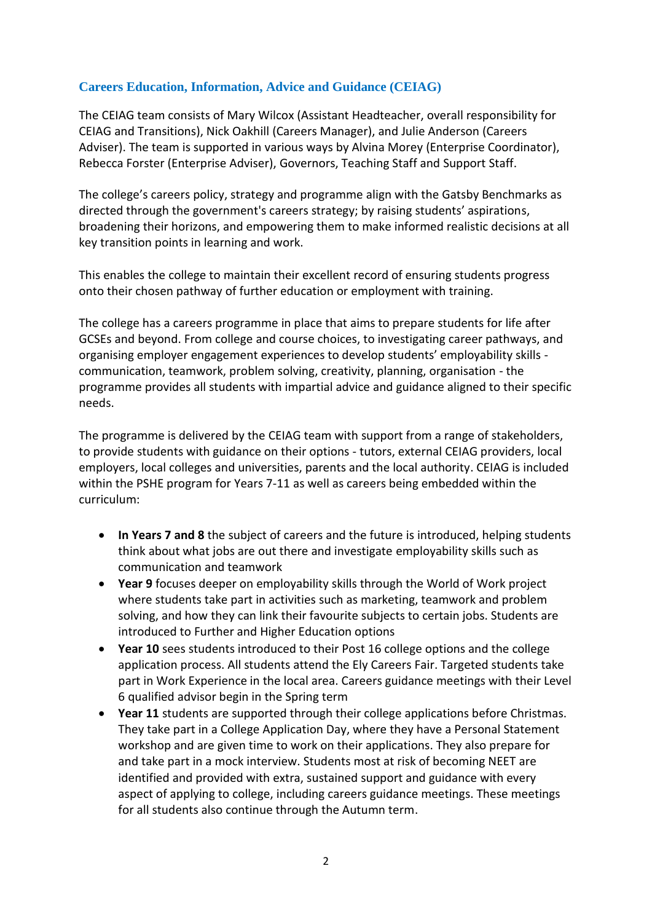## **Careers Education, Information, Advice and Guidance (CEIAG)**

The CEIAG team consists of Mary Wilcox (Assistant Headteacher, overall responsibility for CEIAG and Transitions), Nick Oakhill (Careers Manager), and Julie Anderson (Careers Adviser). The team is supported in various ways by Alvina Morey (Enterprise Coordinator), Rebecca Forster (Enterprise Adviser), Governors, Teaching Staff and Support Staff.

The college's careers policy, strategy and programme align with the Gatsby Benchmarks as directed through the government's careers strategy; by raising students' aspirations, broadening their horizons, and empowering them to make informed realistic decisions at all key transition points in learning and work.

This enables the college to maintain their excellent record of ensuring students progress onto their chosen pathway of further education or employment with training.

The college has a careers programme in place that aims to prepare students for life after GCSEs and beyond. From college and course choices, to investigating career pathways, and organising employer engagement experiences to develop students' employability skills communication, teamwork, problem solving, creativity, planning, organisation - the programme provides all students with impartial advice and guidance aligned to their specific needs.

The programme is delivered by the CEIAG team with support from a range of stakeholders, to provide students with guidance on their options - tutors, external CEIAG providers, local employers, local colleges and universities, parents and the local authority. CEIAG is included within the PSHE program for Years 7-11 as well as careers being embedded within the curriculum:

- **In Years 7 and 8** the subject of careers and the future is introduced, helping students think about what jobs are out there and investigate employability skills such as communication and teamwork
- **Year 9** focuses deeper on employability skills through the World of Work project where students take part in activities such as marketing, teamwork and problem solving, and how they can link their favourite subjects to certain jobs. Students are introduced to Further and Higher Education options
- **Year 10** sees students introduced to their Post 16 college options and the college application process. All students attend the Ely Careers Fair. Targeted students take part in Work Experience in the local area. Careers guidance meetings with their Level 6 qualified advisor begin in the Spring term
- **Year 11** students are supported through their college applications before Christmas. They take part in a College Application Day, where they have a Personal Statement workshop and are given time to work on their applications. They also prepare for and take part in a mock interview. Students most at risk of becoming NEET are identified and provided with extra, sustained support and guidance with every aspect of applying to college, including careers guidance meetings. These meetings for all students also continue through the Autumn term.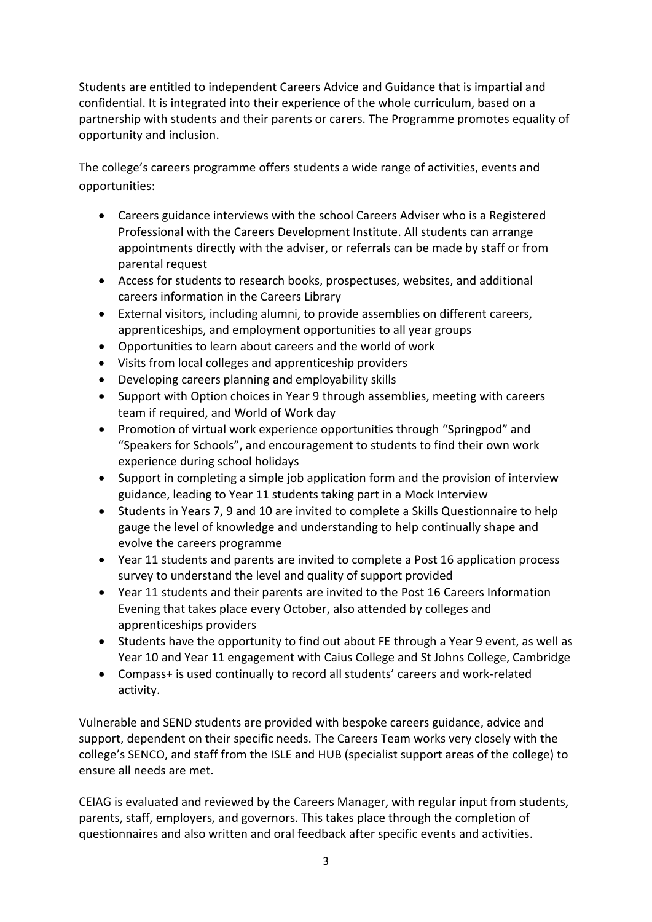Students are entitled to independent Careers Advice and Guidance that is impartial and confidential. It is integrated into their experience of the whole curriculum, based on a partnership with students and their parents or carers. The Programme promotes equality of opportunity and inclusion.

The college's careers programme offers students a wide range of activities, events and opportunities:

- Careers guidance interviews with the school Careers Adviser who is a Registered Professional with the Careers Development Institute. All students can arrange appointments directly with the adviser, or referrals can be made by staff or from parental request
- Access for students to research books, prospectuses, websites, and additional careers information in the Careers Library
- External visitors, including alumni, to provide assemblies on different careers, apprenticeships, and employment opportunities to all year groups
- Opportunities to learn about careers and the world of work
- Visits from local colleges and apprenticeship providers
- Developing careers planning and employability skills
- Support with Option choices in Year 9 through assemblies, meeting with careers team if required, and World of Work day
- Promotion of virtual work experience opportunities through "Springpod" and "Speakers for Schools", and encouragement to students to find their own work experience during school holidays
- Support in completing a simple job application form and the provision of interview guidance, leading to Year 11 students taking part in a Mock Interview
- Students in Years 7, 9 and 10 are invited to complete a Skills Questionnaire to help gauge the level of knowledge and understanding to help continually shape and evolve the careers programme
- Year 11 students and parents are invited to complete a Post 16 application process survey to understand the level and quality of support provided
- Year 11 students and their parents are invited to the Post 16 Careers Information Evening that takes place every October, also attended by colleges and apprenticeships providers
- Students have the opportunity to find out about FE through a Year 9 event, as well as Year 10 and Year 11 engagement with Caius College and St Johns College, Cambridge
- Compass+ is used continually to record all students' careers and work-related activity.

Vulnerable and SEND students are provided with bespoke careers guidance, advice and support, dependent on their specific needs. The Careers Team works very closely with the college's SENCO, and staff from the ISLE and HUB (specialist support areas of the college) to ensure all needs are met.

CEIAG is evaluated and reviewed by the Careers Manager, with regular input from students, parents, staff, employers, and governors. This takes place through the completion of questionnaires and also written and oral feedback after specific events and activities.